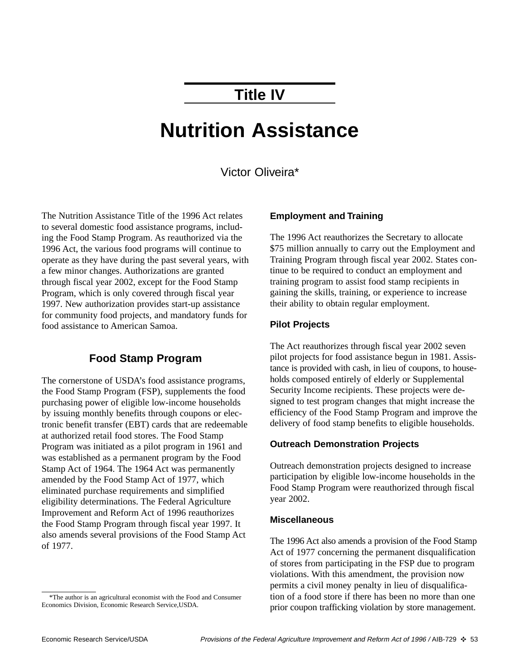## **Title IV**

# **Nutrition Assistance**

#### Victor Oliveira\*

The Nutrition Assistance Title of the 1996 Act relates to several domestic food assistance programs, including the Food Stamp Program. As reauthorized via the 1996 Act, the various food programs will continue to operate as they have during the past several years, with a few minor changes. Authorizations are granted through fiscal year 2002, except for the Food Stamp Program, which is only covered through fiscal year 1997. New authorization provides start-up assistance for community food projects, and mandatory funds for food assistance to American Samoa.

#### **Food Stamp Program**

The cornerstone of USDA's food assistance programs, the Food Stamp Program (FSP), supplements the food purchasing power of eligible low-income households by issuing monthly benefits through coupons or electronic benefit transfer (EBT) cards that are redeemable at authorized retail food stores. The Food Stamp Program was initiated as a pilot program in 1961 and was established as a permanent program by the Food Stamp Act of 1964. The 1964 Act was permanently amended by the Food Stamp Act of 1977, which eliminated purchase requirements and simplified eligibility determinations. The Federal Agriculture Improvement and Reform Act of 1996 reauthorizes the Food Stamp Program through fiscal year 1997. It also amends several provisions of the Food Stamp Act of 1977.

#### **Employment and Training**

The 1996 Act reauthorizes the Secretary to allocate \$75 million annually to carry out the Employment and Training Program through fiscal year 2002. States continue to be required to conduct an employment and training program to assist food stamp recipients in gaining the skills, training, or experience to increase their ability to obtain regular employment.

#### **Pilot Projects**

The Act reauthorizes through fiscal year 2002 seven pilot projects for food assistance begun in 1981. Assistance is provided with cash, in lieu of coupons, to households composed entirely of elderly or Supplemental Security Income recipients. These projects were designed to test program changes that might increase the efficiency of the Food Stamp Program and improve the delivery of food stamp benefits to eligible households.

#### **Outreach Demonstration Projects**

Outreach demonstration projects designed to increase participation by eligible low-income households in the Food Stamp Program were reauthorized through fiscal year 2002.

#### **Miscellaneous**

The 1996 Act also amends a provision of the Food Stamp Act of 1977 concerning the permanent disqualification of stores from participating in the FSP due to program violations. With this amendment, the provision now permits a civil money penalty in lieu of disqualification of a food store if there has been no more than one prior coupon trafficking violation by store management.

<sup>\*</sup>The author is an agricultural economist with the Food and Consumer Economics Division, Economic Research Service,USDA.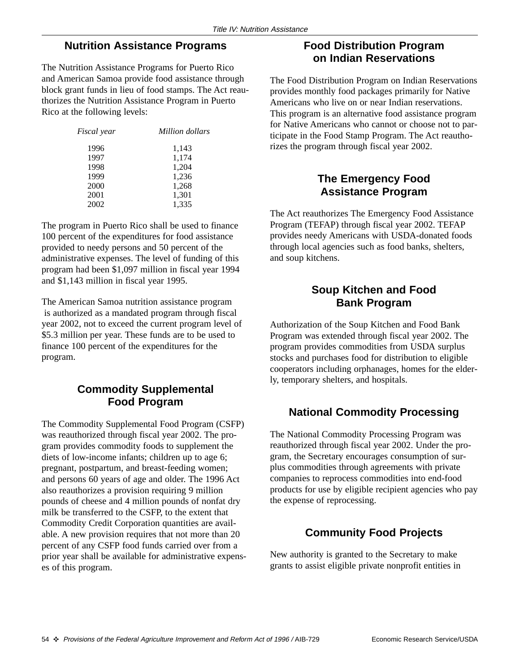#### **Nutrition Assistance Programs**

The Nutrition Assistance Programs for Puerto Rico and American Samoa provide food assistance through block grant funds in lieu of food stamps. The Act reauthorizes the Nutrition Assistance Program in Puerto Rico at the following levels:

| <i>Fiscal</i> year | Million dollars |
|--------------------|-----------------|
| 1996               | 1,143           |
| 1997               | 1,174           |
| 1998               | 1,204           |
| 1999               | 1,236           |
| 2000               | 1,268           |
| 2001               | 1,301           |
| 2002               | 1,335           |

The program in Puerto Rico shall be used to finance 100 percent of the expenditures for food assistance provided to needy persons and 50 percent of the administrative expenses. The level of funding of this program had been \$1,097 million in fiscal year 1994 and \$1,143 million in fiscal year 1995.

The American Samoa nutrition assistance program is authorized as a mandated program through fiscal year 2002, not to exceed the current program level of \$5.3 million per year. These funds are to be used to finance 100 percent of the expenditures for the program.

### **Commodity Supplemental Food Program**

The Commodity Supplemental Food Program (CSFP) was reauthorized through fiscal year 2002. The program provides commodity foods to supplement the diets of low-income infants; children up to age 6; pregnant, postpartum, and breast-feeding women; and persons 60 years of age and older. The 1996 Act also reauthorizes a provision requiring 9 million pounds of cheese and 4 million pounds of nonfat dry milk be transferred to the CSFP, to the extent that Commodity Credit Corporation quantities are available. A new provision requires that not more than 20 percent of any CSFP food funds carried over from a prior year shall be available for administrative expenses of this program.

## **Food Distribution Program on Indian Reservations**

The Food Distribution Program on Indian Reservations provides monthly food packages primarily for Native Americans who live on or near Indian reservations. This program is an alternative food assistance program for Native Americans who cannot or choose not to participate in the Food Stamp Program. The Act reauthorizes the program through fiscal year 2002.

### **The Emergency Food Assistance Program**

The Act reauthorizes The Emergency Food Assistance Program (TEFAP) through fiscal year 2002. TEFAP provides needy Americans with USDA-donated foods through local agencies such as food banks, shelters, and soup kitchens.

#### **Soup Kitchen and Food Bank Program**

Authorization of the Soup Kitchen and Food Bank Program was extended through fiscal year 2002. The program provides commodities from USDA surplus stocks and purchases food for distribution to eligible cooperators including orphanages, homes for the elderly, temporary shelters, and hospitals.

## **National Commodity Processing**

The National Commodity Processing Program was reauthorized through fiscal year 2002. Under the program, the Secretary encourages consumption of surplus commodities through agreements with private companies to reprocess commodities into end-food products for use by eligible recipient agencies who pay the expense of reprocessing.

## **Community Food Projects**

New authority is granted to the Secretary to make grants to assist eligible private nonprofit entities in